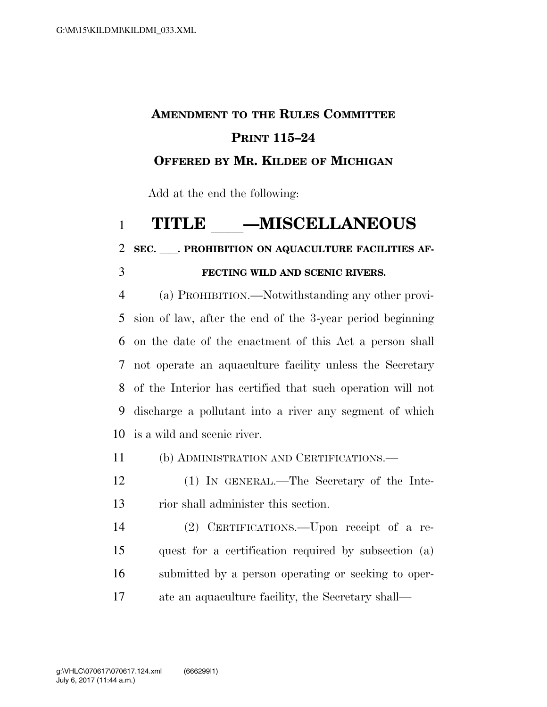## **AMENDMENT TO THE RULES COMMITTEE PRINT 115–24 OFFERED BY MR. KILDEE OF MICHIGAN**

Add at the end the following:

## 1 **TITLE \_\_\_\_\_MISCELLANEOUS**<br>2 SEC. PROHIBITION ON AQUACULTURE FACILITIES

SEC. PROHIBITION ON AQUACULTURE FACILITIES AF-

## **FECTING WILD AND SCENIC RIVERS.**

 (a) PROHIBITION.—Notwithstanding any other provi- sion of law, after the end of the 3-year period beginning on the date of the enactment of this Act a person shall not operate an aquaculture facility unless the Secretary of the Interior has certified that such operation will not discharge a pollutant into a river any segment of which is a wild and scenic river.

(b) ADMINISTRATION AND CERTIFICATIONS.—

 (1) IN GENERAL.—The Secretary of the Inte-rior shall administer this section.

 (2) CERTIFICATIONS.—Upon receipt of a re- quest for a certification required by subsection (a) submitted by a person operating or seeking to oper-ate an aquaculture facility, the Secretary shall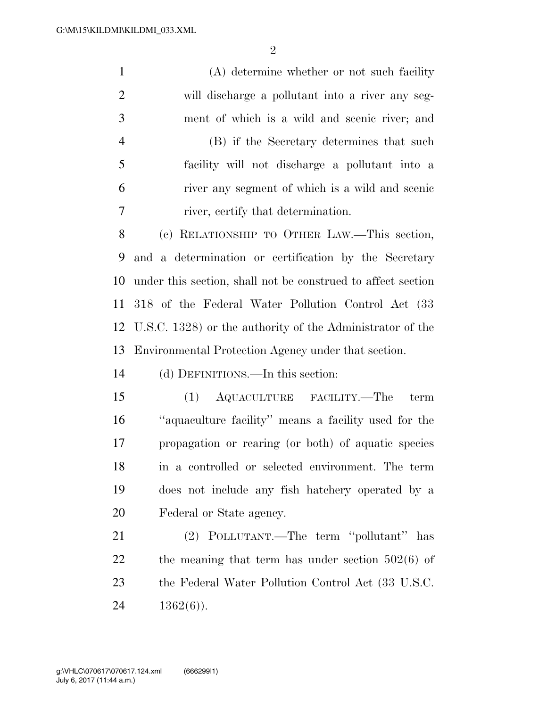(A) determine whether or not such facility will discharge a pollutant into a river any seg- ment of which is a wild and scenic river; and (B) if the Secretary determines that such facility will not discharge a pollutant into a river any segment of which is a wild and scenic river, certify that determination. (c) RELATIONSHIP TO OTHER LAW.—This section, and a determination or certification by the Secretary under this section, shall not be construed to affect section 318 of the Federal Water Pollution Control Act (33 U.S.C. 1328) or the authority of the Administrator of the Environmental Protection Agency under that section. (d) DEFINITIONS.—In this section: (1) AQUACULTURE FACILITY.—The term ''aquaculture facility'' means a facility used for the propagation or rearing (or both) of aquatic species in a controlled or selected environment. The term does not include any fish hatchery operated by a Federal or State agency. (2) POLLUTANT.—The term ''pollutant'' has 22 the meaning that term has under section  $502(6)$  of the Federal Water Pollution Control Act (33 U.S.C.  $1362(6)$ ).